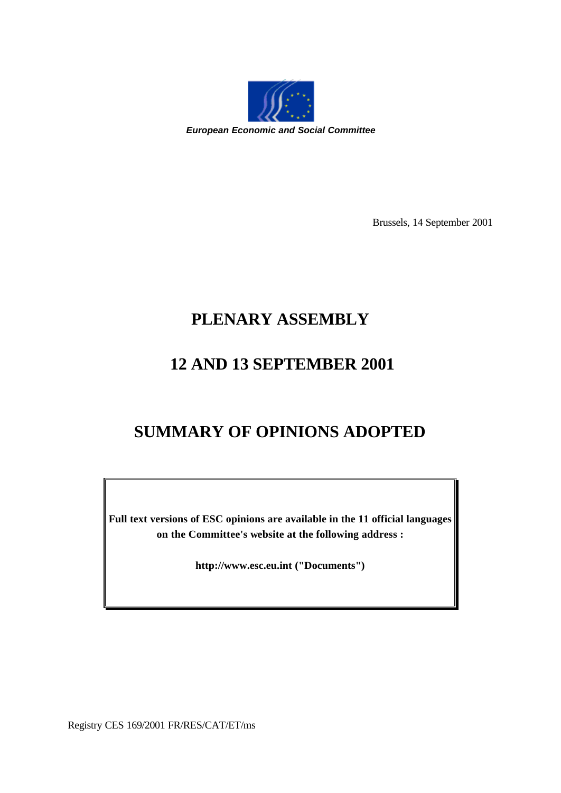

Brussels, 14 September 2001

# **PLENARY ASSEMBLY**

# **12 AND 13 SEPTEMBER 2001**

# **SUMMARY OF OPINIONS ADOPTED**

**Full text versions of ESC opinions are available in the 11 official languages on the Committee's website at the following address :**

**http://www.esc.eu.int ("Documents")**

Registry CES 169/2001 FR/RES/CAT/ET/ms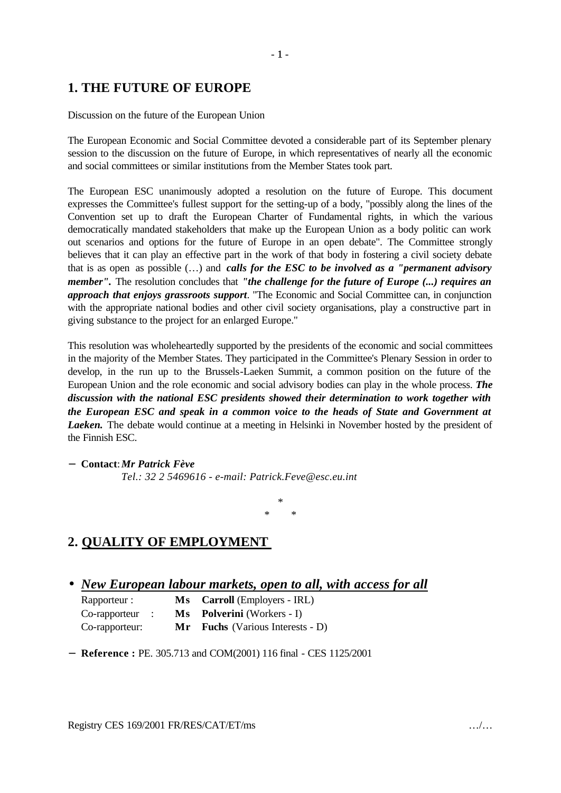## **1. THE FUTURE OF EUROPE**

#### Discussion on the future of the European Union

The European Economic and Social Committee devoted a considerable part of its September plenary session to the discussion on the future of Europe, in which representatives of nearly all the economic and social committees or similar institutions from the Member States took part.

The European ESC unanimously adopted a resolution on the future of Europe. This document expresses the Committee's fullest support for the setting-up of a body, "possibly along the lines of the Convention set up to draft the European Charter of Fundamental rights, in which the various democratically mandated stakeholders that make up the European Union as a body politic can work out scenarios and options for the future of Europe in an open debate". The Committee strongly believes that it can play an effective part in the work of that body in fostering a civil society debate that is as open as possible (…) and *calls for the ESC to be involved as a "permanent advisory member".* The resolution concludes that *"the challenge for the future of Europe (...) requires an approach that enjoys grassroots support*. "The Economic and Social Committee can, in conjunction with the appropriate national bodies and other civil society organisations, play a constructive part in giving substance to the project for an enlarged Europe."

This resolution was wholeheartedly supported by the presidents of the economic and social committees in the majority of the Member States. They participated in the Committee's Plenary Session in order to develop, in the run up to the Brussels-Laeken Summit, a common position on the future of the European Union and the role economic and social advisory bodies can play in the whole process. *The discussion with the national ESC presidents showed their determination to work together with the European ESC and speak in a common voice to the heads of State and Government at Laeken.* The debate would continue at a meeting in Helsinki in November hosted by the president of the Finnish ESC.

− **Contact**:*Mr Patrick Fève*

*Tel.: 32 2 5469616 - e-mail: Patrick.Feve@esc.eu.int*

*\* \* \**

## **2. QUALITY OF EMPLOYMENT**

• *New European labour markets, open to all, with access for all*

| Rapporteur :   |     | Ms Carroll (Employers - IRL)         |
|----------------|-----|--------------------------------------|
| Co-rapporteur  |     | <b>Ms</b> Polverini (Workers - I)    |
| Co-rapporteur: | Mr. | <b>Fuchs</b> (Various Interests - D) |

− **Reference :** PE. 305.713 and COM(2001) 116 final - CES 1125/2001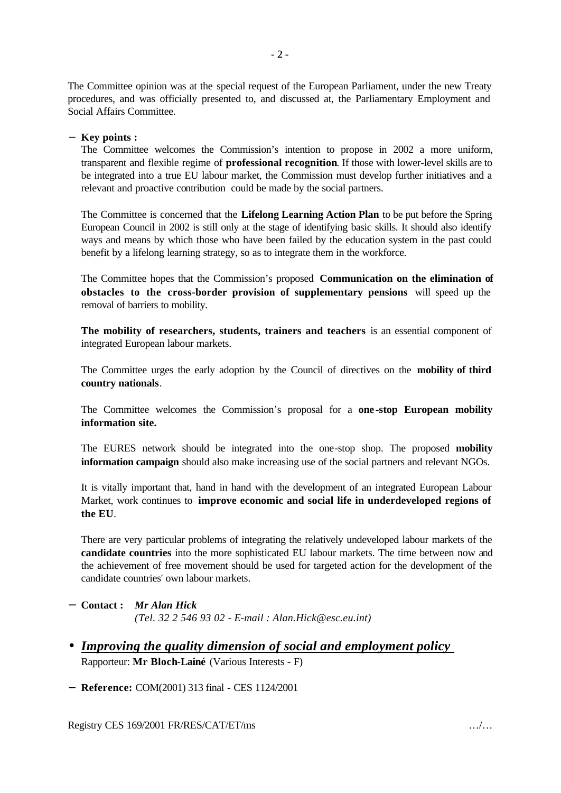The Committee opinion was at the special request of the European Parliament, under the new Treaty procedures, and was officially presented to, and discussed at, the Parliamentary Employment and Social Affairs Committee.

#### − **Key points :**

The Committee welcomes the Commission's intention to propose in 2002 a more uniform, transparent and flexible regime of **professional recognition**. If those with lower-level skills are to be integrated into a true EU labour market, the Commission must develop further initiatives and a relevant and proactive contribution could be made by the social partners.

The Committee is concerned that the **Lifelong Learning Action Plan** to be put before the Spring European Council in 2002 is still only at the stage of identifying basic skills. It should also identify ways and means by which those who have been failed by the education system in the past could benefit by a lifelong learning strategy, so as to integrate them in the workforce.

The Committee hopes that the Commission's proposed **Communication on the elimination of obstacles to the cross-border provision of supplementary pensions** will speed up the removal of barriers to mobility.

**The mobility of researchers, students, trainers and teachers** is an essential component of integrated European labour markets.

The Committee urges the early adoption by the Council of directives on the **mobility of third country nationals**.

The Committee welcomes the Commission's proposal for a **one -stop European mobility information site.**

The EURES network should be integrated into the one-stop shop. The proposed **mobility information campaign** should also make increasing use of the social partners and relevant NGOs.

It is vitally important that, hand in hand with the development of an integrated European Labour Market, work continues to **improve economic and social life in underdeveloped regions of the EU**.

There are very particular problems of integrating the relatively undeveloped labour markets of the **candidate countries** into the more sophisticated EU labour markets. The time between now and the achievement of free movement should be used for targeted action for the development of the candidate countries' own labour markets.

#### − **Contact :** *Mr Alan Hick (Tel. 32 2 546 93 02 - E-mail : Alan.Hick@esc.eu.int)*

• *Improving the quality dimension of social and employment policy*  Rapporteur: **Mr Bloch-Lainé** (Various Interests - F)

− **Reference:** COM(2001) 313 final - CES 1124/2001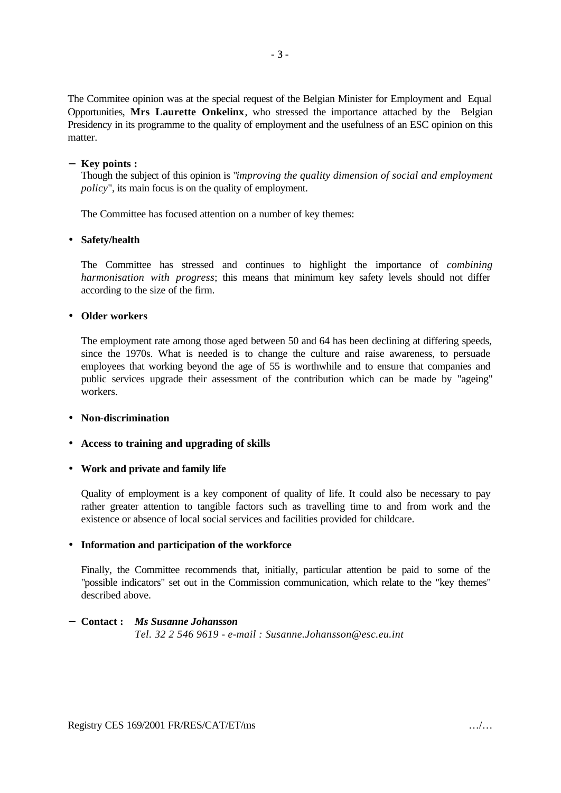The Commitee opinion was at the special request of the Belgian Minister for Employment and Equal Opportunities, **Mrs Laurette Onkelinx**, who stressed the importance attached by the Belgian Presidency in its programme to the quality of employment and the usefulness of an ESC opinion on this matter.

#### − **Key points :**

Though the subject of this opinion is "*improving the quality dimension of social and employment policy*", its main focus is on the quality of employment.

The Committee has focused attention on a number of key themes:

#### • **Safety/health**

The Committee has stressed and continues to highlight the importance of *combining harmonisation with progress*; this means that minimum key safety levels should not differ according to the size of the firm.

#### • **Older workers**

The employment rate among those aged between 50 and 64 has been declining at differing speeds, since the 1970s. What is needed is to change the culture and raise awareness, to persuade employees that working beyond the age of 55 is worthwhile and to ensure that companies and public services upgrade their assessment of the contribution which can be made by "ageing" workers.

#### • **Non-discrimination**

#### • **Access to training and upgrading of skills**

#### • **Work and private and family life**

Quality of employment is a key component of quality of life. It could also be necessary to pay rather greater attention to tangible factors such as travelling time to and from work and the existence or absence of local social services and facilities provided for childcare.

#### • **Information and participation of the workforce**

Finally, the Committee recommends that, initially, particular attention be paid to some of the "possible indicators" set out in the Commission communication, which relate to the "key themes" described above.

#### − **Contact :** *Ms Susanne Johansson*

*Tel. 32 2 546 9619 - e-mail : Susanne.Johansson@esc.eu.int*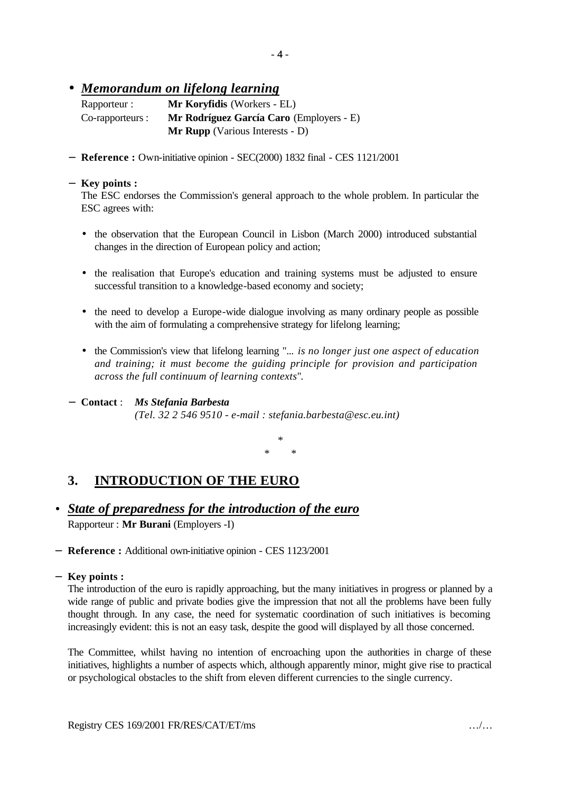#### • *Memorandum on lifelong learning*

| Rapporteur :     | <b>Mr Koryfidis</b> (Workers - EL)        |
|------------------|-------------------------------------------|
| Co-rapporteurs : | Mr Rodríguez García Caro (Employers - E)  |
|                  | <b>Mr Rupp</b> (Various Interests - $D$ ) |

− **Reference :** Own-initiative opinion - SEC(2000) 1832 final - CES 1121/2001

#### − **Key points :**

The ESC endorses the Commission's general approach to the whole problem. In particular the ESC agrees with:

- the observation that the European Council in Lisbon (March 2000) introduced substantial changes in the direction of European policy and action;
- the realisation that Europe's education and training systems must be adjusted to ensure successful transition to a knowledge-based economy and society;
- the need to develop a Europe-wide dialogue involving as many ordinary people as possible with the aim of formulating a comprehensive strategy for lifelong learning;
- the Commission's view that lifelong learning "... *is no longer just one aspect of education and training; it must become the guiding principle for provision and participation across the full continuum of learning contexts*".
- − **Contact** : *Ms Stefania Barbesta (Tel. 32 2 546 9510 - e-mail : stefania.barbesta@esc.eu.int)*

*\* \* \**

## **3. INTRODUCTION OF THE EURO**

- *State of preparedness for the introduction of the euro* Rapporteur : **Mr Burani** (Employers -I)
- − **Reference :** Additional own-initiative opinion CES 1123/2001
- − **Key points :**

The introduction of the euro is rapidly approaching, but the many initiatives in progress or planned by a wide range of public and private bodies give the impression that not all the problems have been fully thought through. In any case, the need for systematic coordination of such initiatives is becoming increasingly evident: this is not an easy task, despite the good will displayed by all those concerned.

The Committee, whilst having no intention of encroaching upon the authorities in charge of these initiatives, highlights a number of aspects which, although apparently minor, might give rise to practical or psychological obstacles to the shift from eleven different currencies to the single currency.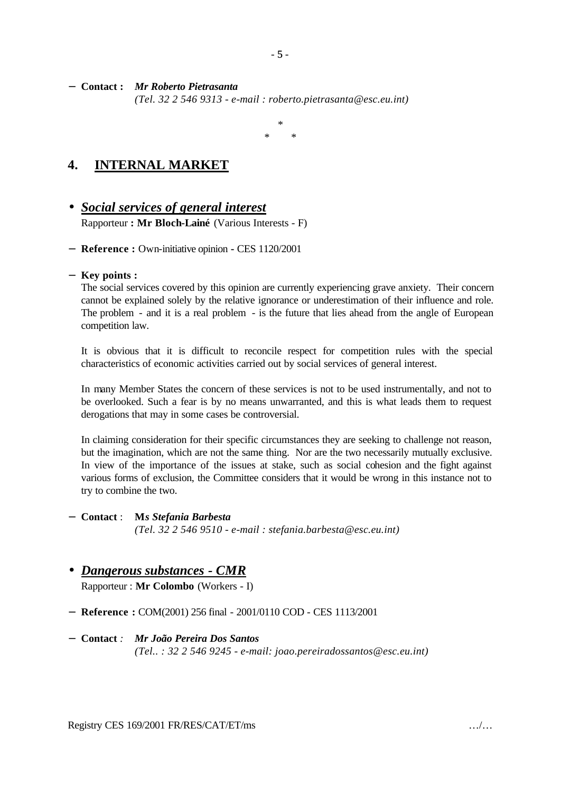− **Contact :** *Mr Roberto Pietrasanta (Tel. 32 2 546 9313 - e-mail : roberto.pietrasanta@esc.eu.int)*

> *\* \* \**

- 5 -

## **4. INTERNAL MARKET**

# • *Social services of general interest*

Rapporteur **: Mr Bloch-Lainé** (Various Interests - F)

− **Reference :** Own-initiative opinion **-** CES 1120/2001

#### − **Key points :**

The social services covered by this opinion are currently experiencing grave anxiety. Their concern cannot be explained solely by the relative ignorance or underestimation of their influence and role. The problem - and it is a real problem - is the future that lies ahead from the angle of European competition law.

It is obvious that it is difficult to reconcile respect for competition rules with the special characteristics of economic activities carried out by social services of general interest.

In many Member States the concern of these services is not to be used instrumentally, and not to be overlooked. Such a fear is by no means unwarranted, and this is what leads them to request derogations that may in some cases be controversial.

In claiming consideration for their specific circumstances they are seeking to challenge not reason, but the imagination, which are not the same thing. Nor are the two necessarily mutually exclusive. In view of the importance of the issues at stake, such as social cohesion and the fight against various forms of exclusion, the Committee considers that it would be wrong in this instance not to try to combine the two.

#### − **Contact** : **M***s Stefania Barbesta (Tel. 32 2 546 9510 - e-mail : stefania.barbesta@esc.eu.int)*

### • *Dangerous substances - CMR*

Rapporteur : **Mr Colombo** (Workers - I)

− **Reference :** COM(2001) 256 final - 2001/0110 COD - CES 1113/2001

#### − **Contact** *: Mr João Pereira Dos Santos*

*(Tel.. : 32 2 546 9245 - e-mail: joao.pereiradossantos@esc.eu.int)*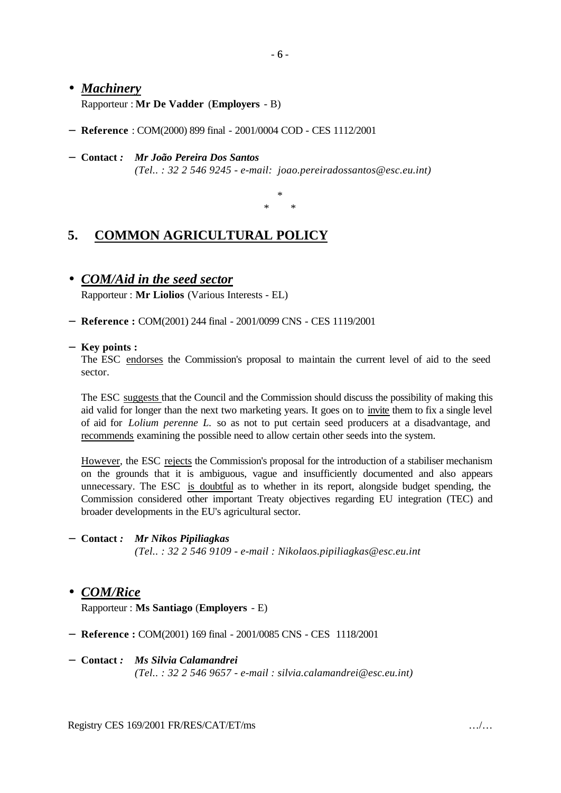#### • *Machinery*

Rapporteur : **Mr De Vadder** (**Employers** - B)

- − **Reference** : COM(2000) 899 final 2001/0004 COD CES 1112/2001
- − **Contact** *: Mr João Pereira Dos Santos (Tel.. : 32 2 546 9245 - e-mail: joao.pereiradossantos@esc.eu.int)*

\* \* \*

## **5. COMMON AGRICULTURAL POLICY**

• *COM/Aid in the seed sector*

Rapporteur : **Mr Liolios** (Various Interests - EL)

− **Reference :** COM(2001) 244 final - 2001/0099 CNS - CES 1119/2001

#### − **Key points :**

The ESC endorses the Commission's proposal to maintain the current level of aid to the seed sector.

The ESC suggests that the Council and the Commission should discuss the possibility of making this aid valid for longer than the next two marketing years. It goes on to invite them to fix a single level of aid for *Lolium perenne L.* so as not to put certain seed producers at a disadvantage, and recommends examining the possible need to allow certain other seeds into the system.

However, the ESC rejects the Commission's proposal for the introduction of a stabiliser mechanism on the grounds that it is ambiguous, vague and insufficiently documented and also appears unnecessary. The ESC is doubtful as to whether in its report, alongside budget spending, the Commission considered other important Treaty objectives regarding EU integration (TEC) and broader developments in the EU's agricultural sector.

− **Contact** *: Mr Nikos Pipiliagkas (Tel.. : 32 2 546 9109 - e-mail : Nikolaos.pipiliagkas@esc.eu.int*

#### • *COM/Rice*

Rapporteur : **Ms Santiago** (**Employers** - E)

- − **Reference :** COM(2001) 169 final 2001/0085 CNS CES 1118/2001
- − **Contact** *: Ms Silvia Calamandrei (Tel.. : 32 2 546 9657 - e-mail : silvia.calamandrei@esc.eu.int)*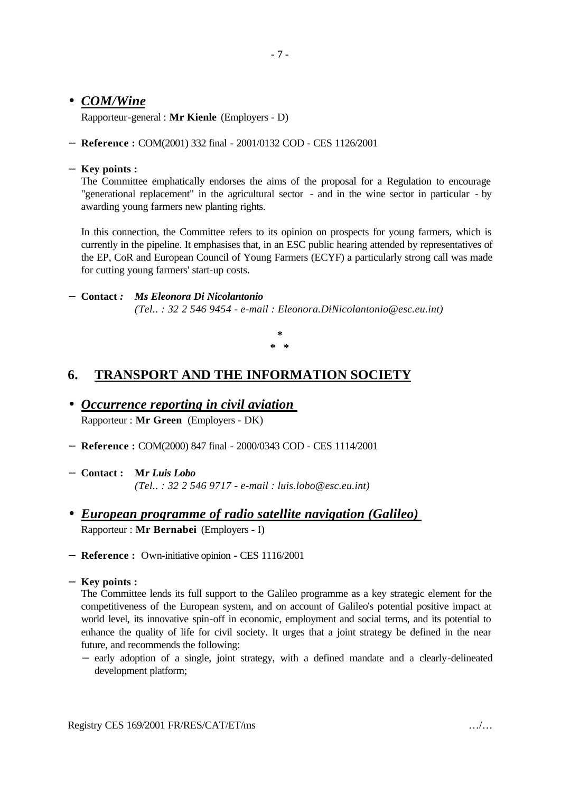#### • *COM/Wine*

Rapporteur-general : **Mr Kienle** (Employers - D)

− **Reference :** COM(2001) 332 final - 2001/0132 COD - CES 1126/2001

#### − **Key points :**

The Committee emphatically endorses the aims of the proposal for a Regulation to encourage "generational replacement" in the agricultural sector - and in the wine sector in particular - by awarding young farmers new planting rights.

In this connection, the Committee refers to its opinion on prospects for young farmers, which is currently in the pipeline. It emphasises that, in an ESC public hearing attended by representatives of the EP, CoR and European Council of Young Farmers (ECYF) a particularly strong call was made for cutting young farmers' start-up costs.

#### − **Contact** *: Ms Eleonora Di Nicolantonio*

*(Tel.. : 32 2 546 9454 - e-mail : Eleonora.DiNicolantonio@esc.eu.int)*

**\* \* \***

## **6. TRANSPORT AND THE INFORMATION SOCIETY**

- *Occurrence reporting in civil aviation*  Rapporteur : **Mr Green** (Employers - DK)
- − **Reference :** COM(2000) 847 final 2000/0343 COD CES 1114/2001
- − **Contact : M***r Luis Lobo (Tel.. : 32 2 546 9717 - e-mail : luis.lobo@esc.eu.int)*
- *European programme of radio satellite navigation (Galileo)* Rapporteur : **Mr Bernabei** (Employers - I)
- − **Reference :** Own-initiative opinion CES 1116/2001
- − **Key points :**

The Committee lends its full support to the Galileo programme as a key strategic element for the competitiveness of the European system, and on account of Galileo's potential positive impact at world level, its innovative spin-off in economic, employment and social terms, and its potential to enhance the quality of life for civil society. It urges that a joint strategy be defined in the near future, and recommends the following:

− early adoption of a single, joint strategy, with a defined mandate and a clearly-delineated development platform;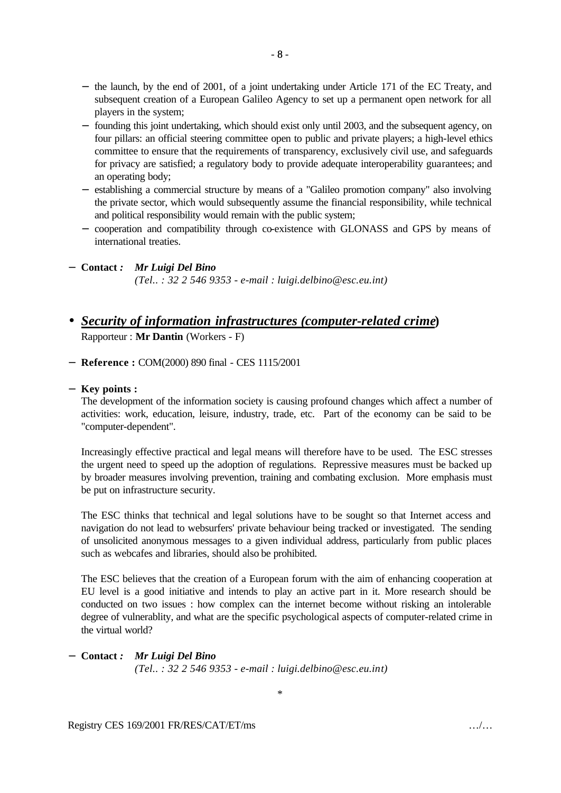- − the launch, by the end of 2001, of a joint undertaking under Article 171 of the EC Treaty, and subsequent creation of a European Galileo Agency to set up a permanent open network for all players in the system;
- − founding this joint undertaking, which should exist only until 2003, and the subsequent agency, on four pillars: an official steering committee open to public and private players; a high-level ethics committee to ensure that the requirements of transparency, exclusively civil use, and safeguards for privacy are satisfied; a regulatory body to provide adequate interoperability guarantees; and an operating body;
- − establishing a commercial structure by means of a "Galileo promotion company" also involving the private sector, which would subsequently assume the financial responsibility, while technical and political responsibility would remain with the public system;
- − cooperation and compatibility through co-existence with GLONASS and GPS by means of international treaties.

− **Contact** *: Mr Luigi Del Bino*

*(Tel.. : 32 2 546 9353 - e-mail : luigi.delbino@esc.eu.int)*

#### • *Security of information infrastructures (computer-related crime***)** Rapporteur : **Mr Dantin** (Workers - F)

− **Reference :** COM(2000) 890 final - CES 1115/2001

#### − **Key points :**

The development of the information society is causing profound changes which affect a number of activities: work, education, leisure, industry, trade, etc. Part of the economy can be said to be "computer-dependent".

Increasingly effective practical and legal means will therefore have to be used. The ESC stresses the urgent need to speed up the adoption of regulations. Repressive measures must be backed up by broader measures involving prevention, training and combating exclusion. More emphasis must be put on infrastructure security.

The ESC thinks that technical and legal solutions have to be sought so that Internet access and navigation do not lead to websurfers' private behaviour being tracked or investigated. The sending of unsolicited anonymous messages to a given individual address, particularly from public places such as webcafes and libraries, should also be prohibited.

The ESC believes that the creation of a European forum with the aim of enhancing cooperation at EU level is a good initiative and intends to play an active part in it. More research should be conducted on two issues : how complex can the internet become without risking an intolerable degree of vulnerablity, and what are the specific psychological aspects of computer-related crime in the virtual world?

#### − **Contact** *: Mr Luigi Del Bino (Tel.. : 32 2 546 9353 - e-mail : luigi.delbino@esc.eu.int)*

\*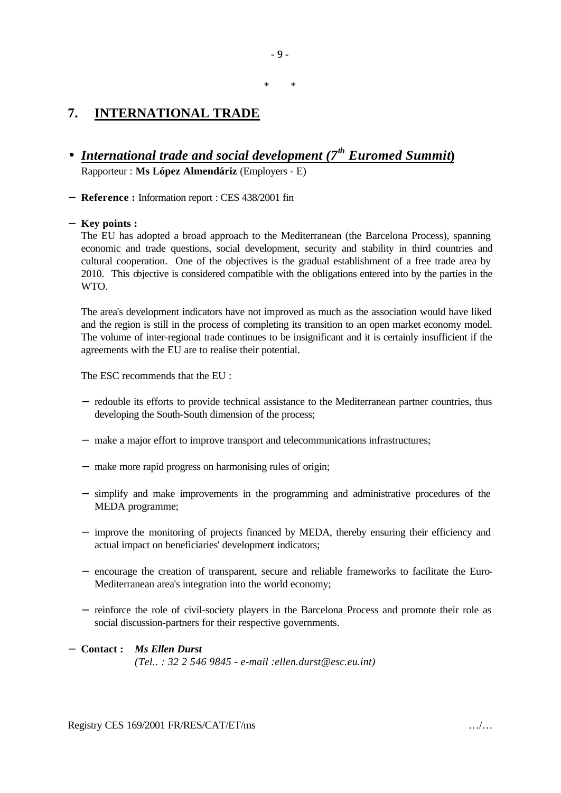## **7. INTERNATIONAL TRADE**

- *International trade and social development (7th Euromed Summit***)** Rapporteur : **Ms López Almendáriz** (Employers - E)
- − **Reference :** Information report : CES 438/2001 fin

#### − **Key points :**

The EU has adopted a broad approach to the Mediterranean (the Barcelona Process), spanning economic and trade questions, social development, security and stability in third countries and cultural cooperation. One of the objectives is the gradual establishment of a free trade area by 2010. This objective is considered compatible with the obligations entered into by the parties in the WTO.

The area's development indicators have not improved as much as the association would have liked and the region is still in the process of completing its transition to an open market economy model. The volume of inter-regional trade continues to be insignificant and it is certainly insufficient if the agreements with the EU are to realise their potential.

The ESC recommends that the EU :

- − redouble its efforts to provide technical assistance to the Mediterranean partner countries, thus developing the South-South dimension of the process;
- − make a major effort to improve transport and telecommunications infrastructures;
- − make more rapid progress on harmonising rules of origin;
- − simplify and make improvements in the programming and administrative procedures of the MEDA programme;
- − improve the monitoring of projects financed by MEDA, thereby ensuring their efficiency and actual impact on beneficiaries' development indicators;
- − encourage the creation of transparent, secure and reliable frameworks to facilitate the Euro-Mediterranean area's integration into the world economy;
- − reinforce the role of civil-society players in the Barcelona Process and promote their role as social discussion-partners for their respective governments.

#### − **Contact :** *Ms Ellen Durst (Tel.. : 32 2 546 9845 - e-mail :ellen.durst@esc.eu.int)*

\* \*